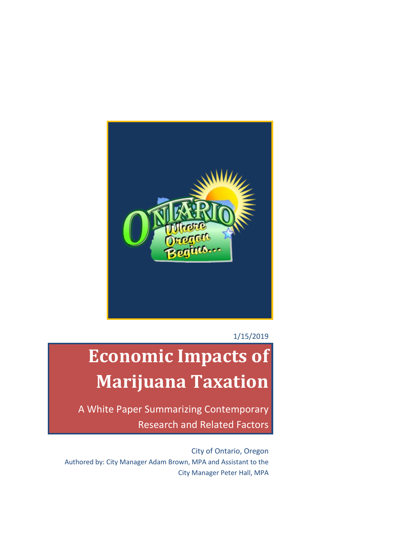

1/15/2019

# **Economic Impacts of Marijuana Taxation**

A White Paper Summarizing Contemporary Research and Related Factors

City of Ontario, Oregon Authored by: City Manager Adam Brown, MPA and Assistant to the City Manager Peter Hall, MPA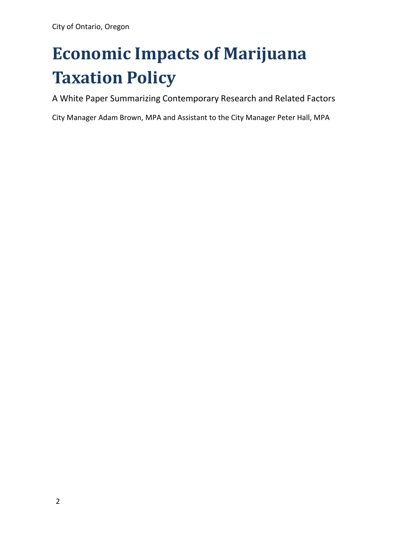# **Economic Impacts of Marijuana Taxation Policy**

A White Paper Summarizing Contemporary Research and Related Factors

City Manager Adam Brown, MPA and Assistant to the City Manager Peter Hall, MPA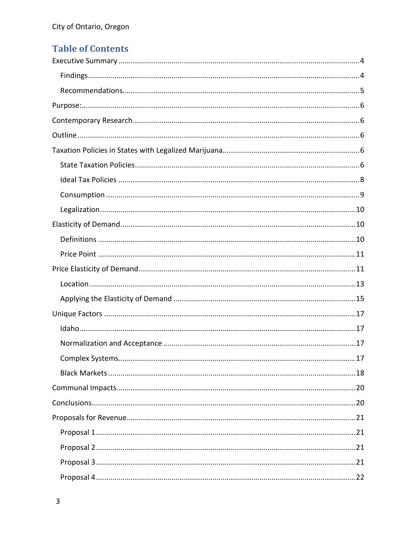# **Table of Contents**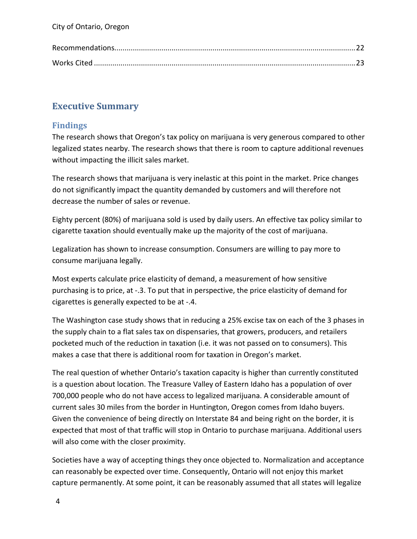# <span id="page-3-0"></span>**Executive Summary**

# <span id="page-3-1"></span>**Findings**

The research shows that Oregon's tax policy on marijuana is very generous compared to other legalized states nearby. The research shows that there is room to capture additional revenues without impacting the illicit sales market.

The research shows that marijuana is very inelastic at this point in the market. Price changes do not significantly impact the quantity demanded by customers and will therefore not decrease the number of sales or revenue.

Eighty percent (80%) of marijuana sold is used by daily users. An effective tax policy similar to cigarette taxation should eventually make up the majority of the cost of marijuana.

Legalization has shown to increase consumption. Consumers are willing to pay more to consume marijuana legally.

Most experts calculate price elasticity of demand, a measurement of how sensitive purchasing is to price, at -.3. To put that in perspective, the price elasticity of demand for cigarettes is generally expected to be at -.4.

The Washington case study shows that in reducing a 25% excise tax on each of the 3 phases in the supply chain to a flat sales tax on dispensaries, that growers, producers, and retailers pocketed much of the reduction in taxation (i.e. it was not passed on to consumers). This makes a case that there is additional room for taxation in Oregon's market.

The real question of whether Ontario's taxation capacity is higher than currently constituted is a question about location. The Treasure Valley of Eastern Idaho has a population of over 700,000 people who do not have access to legalized marijuana. A considerable amount of current sales 30 miles from the border in Huntington, Oregon comes from Idaho buyers. Given the convenience of being directly on Interstate 84 and being right on the border, it is expected that most of that traffic will stop in Ontario to purchase marijuana. Additional users will also come with the closer proximity.

Societies have a way of accepting things they once objected to. Normalization and acceptance can reasonably be expected over time. Consequently, Ontario will not enjoy this market capture permanently. At some point, it can be reasonably assumed that all states will legalize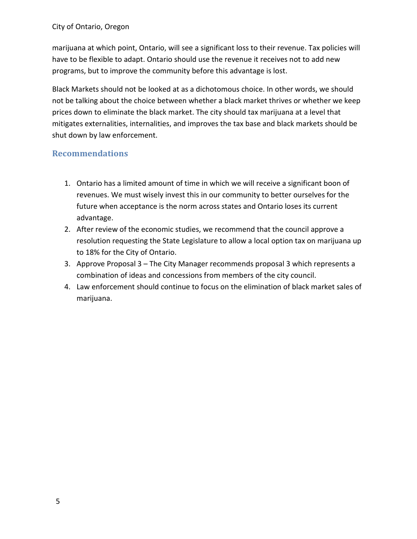marijuana at which point, Ontario, will see a significant loss to their revenue. Tax policies will have to be flexible to adapt. Ontario should use the revenue it receives not to add new programs, but to improve the community before this advantage is lost.

Black Markets should not be looked at as a dichotomous choice. In other words, we should not be talking about the choice between whether a black market thrives or whether we keep prices down to eliminate the black market. The city should tax marijuana at a level that mitigates externalities, internalities, and improves the tax base and black markets should be shut down by law enforcement.

## <span id="page-4-0"></span>**Recommendations**

- 1. Ontario has a limited amount of time in which we will receive a significant boon of revenues. We must wisely invest this in our community to better ourselves for the future when acceptance is the norm across states and Ontario loses its current advantage.
- 2. After review of the economic studies, we recommend that the council approve a resolution requesting the State Legislature to allow a local option tax on marijuana up to 18% for the City of Ontario.
- 3. Approve Proposal 3 The City Manager recommends proposal 3 which represents a combination of ideas and concessions from members of the city council.
- 4. Law enforcement should continue to focus on the elimination of black market sales of marijuana.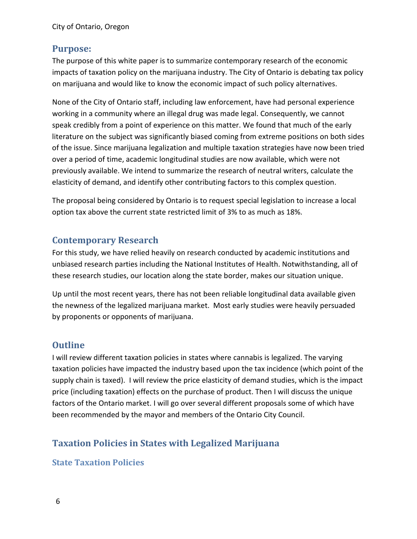## <span id="page-5-0"></span>**Purpose:**

The purpose of this white paper is to summarize contemporary research of the economic impacts of taxation policy on the marijuana industry. The City of Ontario is debating tax policy on marijuana and would like to know the economic impact of such policy alternatives.

None of the City of Ontario staff, including law enforcement, have had personal experience working in a community where an illegal drug was made legal. Consequently, we cannot speak credibly from a point of experience on this matter. We found that much of the early literature on the subject was significantly biased coming from extreme positions on both sides of the issue. Since marijuana legalization and multiple taxation strategies have now been tried over a period of time, academic longitudinal studies are now available, which were not previously available. We intend to summarize the research of neutral writers, calculate the elasticity of demand, and identify other contributing factors to this complex question.

The proposal being considered by Ontario is to request special legislation to increase a local option tax above the current state restricted limit of 3% to as much as 18%.

# <span id="page-5-1"></span>**Contemporary Research**

For this study, we have relied heavily on research conducted by academic institutions and unbiased research parties including the National Institutes of Health. Notwithstanding, all of these research studies, our location along the state border, makes our situation unique.

Up until the most recent years, there has not been reliable longitudinal data available given the newness of the legalized marijuana market. Most early studies were heavily persuaded by proponents or opponents of marijuana.

# <span id="page-5-2"></span>**Outline**

I will review different taxation policies in states where cannabis is legalized. The varying taxation policies have impacted the industry based upon the tax incidence (which point of the supply chain is taxed). I will review the price elasticity of demand studies, which is the impact price (including taxation) effects on the purchase of product. Then I will discuss the unique factors of the Ontario market. I will go over several different proposals some of which have been recommended by the mayor and members of the Ontario City Council.

# <span id="page-5-3"></span>**Taxation Policies in States with Legalized Marijuana**

## <span id="page-5-4"></span>**State Taxation Policies**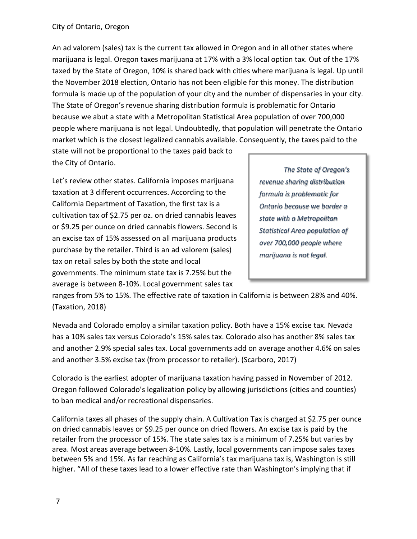An ad valorem (sales) tax is the current tax allowed in Oregon and in all other states where marijuana is legal. Oregon taxes marijuana at 17% with a 3% local option tax. Out of the 17% taxed by the State of Oregon, 10% is shared back with cities where marijuana is legal. Up until the November 2018 election, Ontario has not been eligible for this money. The distribution formula is made up of the population of your city and the number of dispensaries in your city. The State of Oregon's revenue sharing distribution formula is problematic for Ontario because we abut a state with a Metropolitan Statistical Area population of over 700,000 people where marijuana is not legal. Undoubtedly, that population will penetrate the Ontario market which is the closest legalized cannabis available. Consequently, the taxes paid to the

state will not be proportional to the taxes paid back to the City of Ontario.

Let's review other states. California imposes marijuana taxation at 3 different occurrences. According to the California Department of Taxation, the first tax is a cultivation tax of \$2.75 per oz. on dried cannabis leaves or \$9.25 per ounce on dried cannabis flowers. Second is an excise tax of 15% assessed on all marijuana products purchase by the retailer. Third is an ad valorem (sales) tax on retail sales by both the state and local governments. The minimum state tax is 7.25% but the average is between 8-10%. Local government sales tax

*The State of Oregon's revenue sharing distribution formula is problematic for Ontario because we border a state with a Metropolitan Statistical Area population of over 700,000 people where marijuana is not legal.*

ranges from 5% to 15%. The effective rate of taxation in California is between 28% and 40%. (Taxation, 2018)

Nevada and Colorado employ a similar taxation policy. Both have a 15% excise tax. Nevada has a 10% sales tax versus Colorado's 15% sales tax. Colorado also has another 8% sales tax and another 2.9% special sales tax. Local governments add on average another 4.6% on sales and another 3.5% excise tax (from processor to retailer). (Scarboro, 2017)

Colorado is the earliest adopter of marijuana taxation having passed in November of 2012. Oregon followed Colorado's legalization policy by allowing jurisdictions (cities and counties) to ban medical and/or recreational dispensaries.

California taxes all phases of the supply chain. A Cultivation Tax is charged at \$2.75 per ounce on dried cannabis leaves or \$9.25 per ounce on dried flowers. An excise tax is paid by the retailer from the processor of 15%. The state sales tax is a minimum of 7.25% but varies by area. Most areas average between 8-10%. Lastly, local governments can impose sales taxes between 5% and 15%. As far reaching as California's tax marijuana tax is, Washington is still higher. "All of these taxes lead to a lower effective rate than Washington's implying that if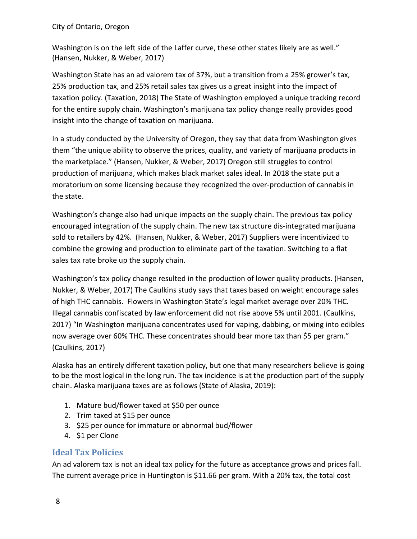Washington is on the left side of the Laffer curve, these other states likely are as well." (Hansen, Nukker, & Weber, 2017)

Washington State has an ad valorem tax of 37%, but a transition from a 25% grower's tax, 25% production tax, and 25% retail sales tax gives us a great insight into the impact of taxation policy. (Taxation, 2018) The State of Washington employed a unique tracking record for the entire supply chain. Washington's marijuana tax policy change really provides good insight into the change of taxation on marijuana.

In a study conducted by the University of Oregon, they say that data from Washington gives them "the unique ability to observe the prices, quality, and variety of marijuana products in the marketplace." (Hansen, Nukker, & Weber, 2017) Oregon still struggles to control production of marijuana, which makes black market sales ideal. In 2018 the state put a moratorium on some licensing because they recognized the over-production of cannabis in the state.

Washington's change also had unique impacts on the supply chain. The previous tax policy encouraged integration of the supply chain. The new tax structure dis-integrated marijuana sold to retailers by 42%. (Hansen, Nukker, & Weber, 2017) Suppliers were incentivized to combine the growing and production to eliminate part of the taxation. Switching to a flat sales tax rate broke up the supply chain.

Washington's tax policy change resulted in the production of lower quality products. (Hansen, Nukker, & Weber, 2017) The Caulkins study says that taxes based on weight encourage sales of high THC cannabis. Flowers in Washington State's legal market average over 20% THC. Illegal cannabis confiscated by law enforcement did not rise above 5% until 2001. (Caulkins, 2017) "In Washington marijuana concentrates used for vaping, dabbing, or mixing into edibles now average over 60% THC. These concentrates should bear more tax than \$5 per gram." (Caulkins, 2017)

Alaska has an entirely different taxation policy, but one that many researchers believe is going to be the most logical in the long run. The tax incidence is at the production part of the supply chain. Alaska marijuana taxes are as follows (State of Alaska, 2019):

- 1. Mature bud/flower taxed at \$50 per ounce
- 2. Trim taxed at \$15 per ounce
- 3. \$25 per ounce for immature or abnormal bud/flower
- 4. \$1 per Clone

# <span id="page-7-0"></span>**Ideal Tax Policies**

An ad valorem tax is not an ideal tax policy for the future as acceptance grows and prices fall. The current average price in Huntington is \$11.66 per gram. With a 20% tax, the total cost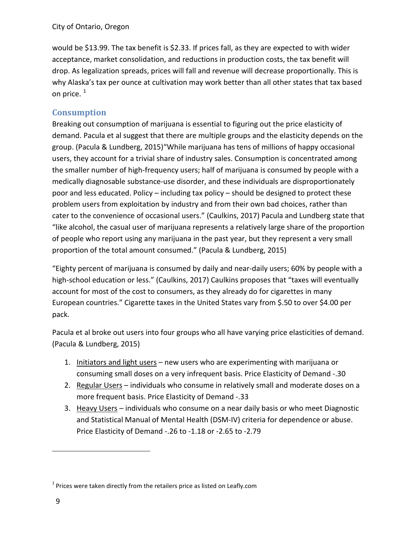would be \$13.99. The tax benefit is \$2.33. If prices fall, as they are expected to with wider acceptance, market consolidation, and reductions in production costs, the tax benefit will drop. As legalization spreads, prices will fall and revenue will decrease proportionally. This is why Alaska's tax per ounce at cultivation may work better than all other states that tax based on price.  $1$ 

# <span id="page-8-0"></span>**Consumption**

Breaking out consumption of marijuana is essential to figuring out the price elasticity of demand. Pacula et al suggest that there are multiple groups and the elasticity depends on the group. (Pacula & Lundberg, 2015)"While marijuana has tens of millions of happy occasional users, they account for a trivial share of industry sales. Consumption is concentrated among the smaller number of high-frequency users; half of marijuana is consumed by people with a medically diagnosable substance-use disorder, and these individuals are disproportionately poor and less educated. Policy – including tax policy – should be designed to protect these problem users from exploitation by industry and from their own bad choices, rather than cater to the convenience of occasional users." (Caulkins, 2017) Pacula and Lundberg state that "like alcohol, the casual user of marijuana represents a relatively large share of the proportion of people who report using any marijuana in the past year, but they represent a very small proportion of the total amount consumed." (Pacula & Lundberg, 2015)

"Eighty percent of marijuana is consumed by daily and near-daily users; 60% by people with a high-school education or less." (Caulkins, 2017) Caulkins proposes that "taxes will eventually account for most of the cost to consumers, as they already do for cigarettes in many European countries." Cigarette taxes in the United States vary from \$.50 to over \$4.00 per pack.

Pacula et al broke out users into four groups who all have varying price elasticities of demand. (Pacula & Lundberg, 2015)

- 1. Initiators and light users new users who are experimenting with marijuana or consuming small doses on a very infrequent basis. Price Elasticity of Demand -.30
- 2. Regular Users individuals who consume in relatively small and moderate doses on a more frequent basis. Price Elasticity of Demand -.33
- 3. Heavy Users individuals who consume on a near daily basis or who meet Diagnostic and Statistical Manual of Mental Health (DSM-IV) criteria for dependence or abuse. Price Elasticity of Demand -.26 to -1.18 or -2.65 to -2.79

 $\overline{a}$ 

<span id="page-8-1"></span> $1$  Prices were taken directly from the retailers price as listed on Leafly.com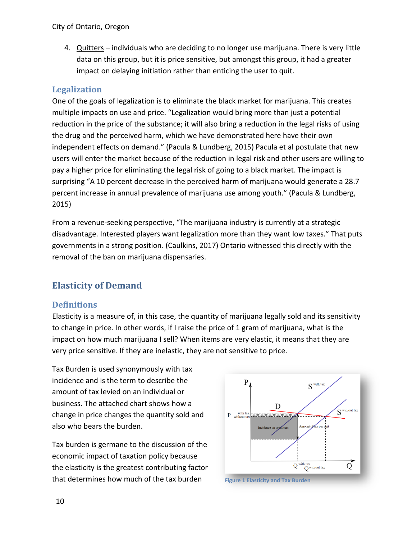4. Quitters – individuals who are deciding to no longer use marijuana. There is very little data on this group, but it is price sensitive, but amongst this group, it had a greater impact on delaying initiation rather than enticing the user to quit.

## <span id="page-9-0"></span>**Legalization**

One of the goals of legalization is to eliminate the black market for marijuana. This creates multiple impacts on use and price. "Legalization would bring more than just a potential reduction in the price of the substance; it will also bring a reduction in the legal risks of using the drug and the perceived harm, which we have demonstrated here have their own independent effects on demand." (Pacula & Lundberg, 2015) Pacula et al postulate that new users will enter the market because of the reduction in legal risk and other users are willing to pay a higher price for eliminating the legal risk of going to a black market. The impact is surprising "A 10 percent decrease in the perceived harm of marijuana would generate a 28.7 percent increase in annual prevalence of marijuana use among youth." (Pacula & Lundberg, 2015)

From a revenue-seeking perspective, "The marijuana industry is currently at a strategic disadvantage. Interested players want legalization more than they want low taxes." That puts governments in a strong position. (Caulkins, 2017) Ontario witnessed this directly with the removal of the ban on marijuana dispensaries.

# <span id="page-9-1"></span>**Elasticity of Demand**

# <span id="page-9-2"></span>**Definitions**

Elasticity is a measure of, in this case, the quantity of marijuana legally sold and its sensitivity to change in price. In other words, if I raise the price of 1 gram of marijuana, what is the impact on how much marijuana I sell? When items are very elastic, it means that they are very price sensitive. If they are inelastic, they are not sensitive to price.

Tax Burden is used synonymously with tax incidence and is the term to describe the amount of tax levied on an individual or business. The attached chart shows how a change in price changes the quantity sold and also who bears the burden.

Tax burden is germane to the discussion of the economic impact of taxation policy because the elasticity is the greatest contributing factor that determines how much of the tax burden **Figure 1 Elasticity and Tax Burden**



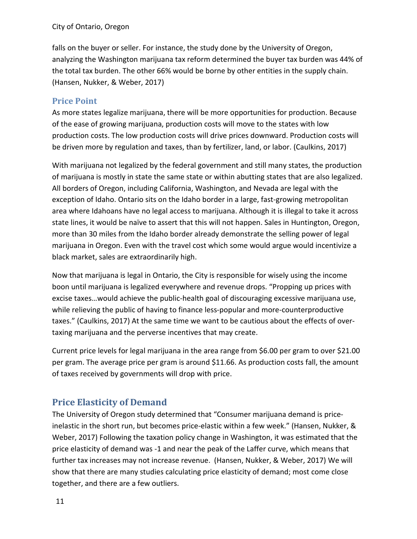falls on the buyer or seller. For instance, the study done by the University of Oregon, analyzing the Washington marijuana tax reform determined the buyer tax burden was 44% of the total tax burden. The other 66% would be borne by other entities in the supply chain. (Hansen, Nukker, & Weber, 2017)

## <span id="page-10-0"></span>**Price Point**

As more states legalize marijuana, there will be more opportunities for production. Because of the ease of growing marijuana, production costs will move to the states with low production costs. The low production costs will drive prices downward. Production costs will be driven more by regulation and taxes, than by fertilizer, land, or labor. (Caulkins, 2017)

With marijuana not legalized by the federal government and still many states, the production of marijuana is mostly in state the same state or within abutting states that are also legalized. All borders of Oregon, including California, Washington, and Nevada are legal with the exception of Idaho. Ontario sits on the Idaho border in a large, fast-growing metropolitan area where Idahoans have no legal access to marijuana. Although it is illegal to take it across state lines, it would be naïve to assert that this will not happen. Sales in Huntington, Oregon, more than 30 miles from the Idaho border already demonstrate the selling power of legal marijuana in Oregon. Even with the travel cost which some would argue would incentivize a black market, sales are extraordinarily high.

Now that marijuana is legal in Ontario, the City is responsible for wisely using the income boon until marijuana is legalized everywhere and revenue drops. "Propping up prices with excise taxes…would achieve the public-health goal of discouraging excessive marijuana use, while relieving the public of having to finance less-popular and more-counterproductive taxes." (Caulkins, 2017) At the same time we want to be cautious about the effects of overtaxing marijuana and the perverse incentives that may create.

Current price levels for legal marijuana in the area range from \$6.00 per gram to over \$21.00 per gram. The average price per gram is around \$11.66. As production costs fall, the amount of taxes received by governments will drop with price.

# <span id="page-10-1"></span>**Price Elasticity of Demand**

The University of Oregon study determined that "Consumer marijuana demand is priceinelastic in the short run, but becomes price-elastic within a few week." (Hansen, Nukker, & Weber, 2017) Following the taxation policy change in Washington, it was estimated that the price elasticity of demand was -1 and near the peak of the Laffer curve, which means that further tax increases may not increase revenue. (Hansen, Nukker, & Weber, 2017) We will show that there are many studies calculating price elasticity of demand; most come close together, and there are a few outliers.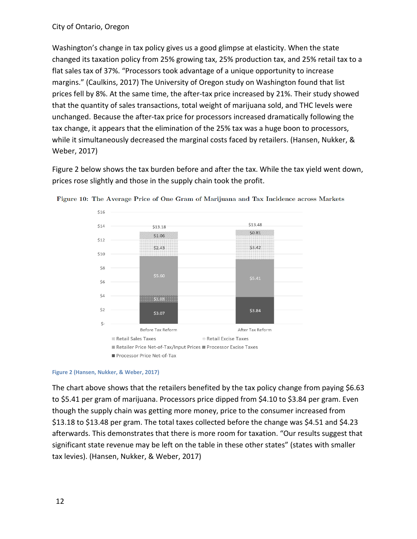Washington's change in tax policy gives us a good glimpse at elasticity. When the state changed its taxation policy from 25% growing tax, 25% production tax, and 25% retail tax to a flat sales tax of 37%. "Processors took advantage of a unique opportunity to increase margins." (Caulkins, 2017) The University of Oregon study on Washington found that list prices fell by 8%. At the same time, the after-tax price increased by 21%. Their study showed that the quantity of sales transactions, total weight of marijuana sold, and THC levels were unchanged. Because the after-tax price for processors increased dramatically following the tax change, it appears that the elimination of the 25% tax was a huge boon to processors, while it simultaneously decreased the marginal costs faced by retailers. (Hansen, Nukker, & Weber, 2017)

Figure 2 below shows the tax burden before and after the tax. While the tax yield went down, prices rose slightly and those in the supply chain took the profit.



Figure 10: The Average Price of One Gram of Marijuana and Tax Incidence across Markets

#### **Figure 2 (Hansen, Nukker, & Weber, 2017)**

The chart above shows that the retailers benefited by the tax policy change from paying \$6.63 to \$5.41 per gram of marijuana. Processors price dipped from \$4.10 to \$3.84 per gram. Even though the supply chain was getting more money, price to the consumer increased from \$13.18 to \$13.48 per gram. The total taxes collected before the change was \$4.51 and \$4.23 afterwards. This demonstrates that there is more room for taxation. "Our results suggest that significant state revenue may be left on the table in these other states" (states with smaller tax levies). (Hansen, Nukker, & Weber, 2017)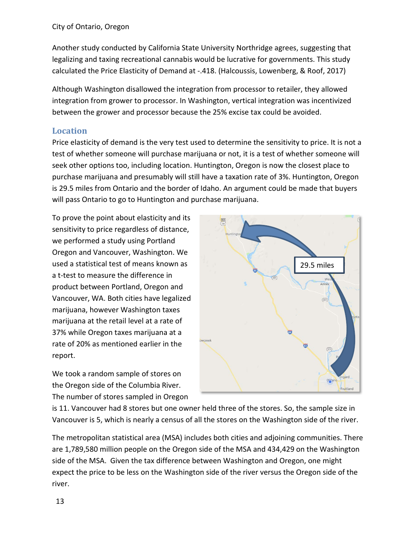Another study conducted by California State University Northridge agrees, suggesting that legalizing and taxing recreational cannabis would be lucrative for governments. This study calculated the Price Elasticity of Demand at -.418. (Halcoussis, Lowenberg, & Roof, 2017)

Although Washington disallowed the integration from processor to retailer, they allowed integration from grower to processor. In Washington, vertical integration was incentivized between the grower and processor because the 25% excise tax could be avoided.

## <span id="page-12-0"></span>**Location**

Price elasticity of demand is the very test used to determine the sensitivity to price. It is not a test of whether someone will purchase marijuana or not, it is a test of whether someone will seek other options too, including location. Huntington, Oregon is now the closest place to purchase marijuana and presumably will still have a taxation rate of 3%. Huntington, Oregon is 29.5 miles from Ontario and the border of Idaho. An argument could be made that buyers will pass Ontario to go to Huntington and purchase marijuana.

To prove the point about elasticity and its sensitivity to price regardless of distance, we performed a study using Portland Oregon and Vancouver, Washington. We used a statistical test of means known as a t-test to measure the difference in product between Portland, Oregon and Vancouver, WA. Both cities have legalized marijuana, however Washington taxes marijuana at the retail level at a rate of 37% while Oregon taxes marijuana at a rate of 20% as mentioned earlier in the report.

We took a random sample of stores on the Oregon side of the Columbia River. The number of stores sampled in Oregon



is 11. Vancouver had 8 stores but one owner held three of the stores. So, the sample size in Vancouver is 5, which is nearly a census of all the stores on the Washington side of the river.

The metropolitan statistical area (MSA) includes both cities and adjoining communities. There are 1,789,580 million people on the Oregon side of the MSA and 434,429 on the Washington side of the MSA. Given the tax difference between Washington and Oregon, one might expect the price to be less on the Washington side of the river versus the Oregon side of the river.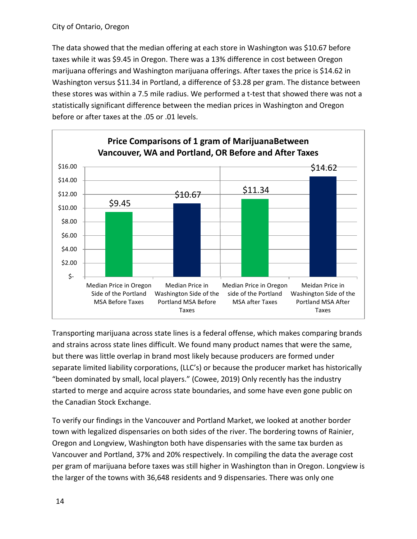The data showed that the median offering at each store in Washington was \$10.67 before taxes while it was \$9.45 in Oregon. There was a 13% difference in cost between Oregon marijuana offerings and Washington marijuana offerings. After taxes the price is \$14.62 in Washington versus \$11.34 in Portland, a difference of \$3.28 per gram. The distance between these stores was within a 7.5 mile radius. We performed a t-test that showed there was not a statistically significant difference between the median prices in Washington and Oregon before or after taxes at the .05 or .01 levels.



Transporting marijuana across state lines is a federal offense, which makes comparing brands and strains across state lines difficult. We found many product names that were the same, but there was little overlap in brand most likely because producers are formed under separate limited liability corporations, (LLC's) or because the producer market has historically "been dominated by small, local players." (Cowee, 2019) Only recently has the industry started to merge and acquire across state boundaries, and some have even gone public on the Canadian Stock Exchange.

To verify our findings in the Vancouver and Portland Market, we looked at another border town with legalized dispensaries on both sides of the river. The bordering towns of Rainier, Oregon and Longview, Washington both have dispensaries with the same tax burden as Vancouver and Portland, 37% and 20% respectively. In compiling the data the average cost per gram of marijuana before taxes was still higher in Washington than in Oregon. Longview is the larger of the towns with 36,648 residents and 9 dispensaries. There was only one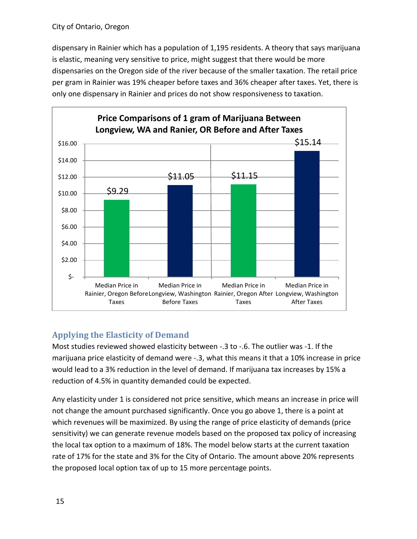dispensary in Rainier which has a population of 1,195 residents. A theory that says marijuana is elastic, meaning very sensitive to price, might suggest that there would be more dispensaries on the Oregon side of the river because of the smaller taxation. The retail price per gram in Rainier was 19% cheaper before taxes and 36% cheaper after taxes. Yet, there is only one dispensary in Rainier and prices do not show responsiveness to taxation.



# <span id="page-14-0"></span>**Applying the Elasticity of Demand**

Most studies reviewed showed elasticity between -.3 to -.6. The outlier was -1. If the marijuana price elasticity of demand were -.3, what this means it that a 10% increase in price would lead to a 3% reduction in the level of demand. If marijuana tax increases by 15% a reduction of 4.5% in quantity demanded could be expected.

Any elasticity under 1 is considered not price sensitive, which means an increase in price will not change the amount purchased significantly. Once you go above 1, there is a point at which revenues will be maximized. By using the range of price elasticity of demands (price sensitivity) we can generate revenue models based on the proposed tax policy of increasing the local tax option to a maximum of 18%. The model below starts at the current taxation rate of 17% for the state and 3% for the City of Ontario. The amount above 20% represents the proposed local option tax of up to 15 more percentage points.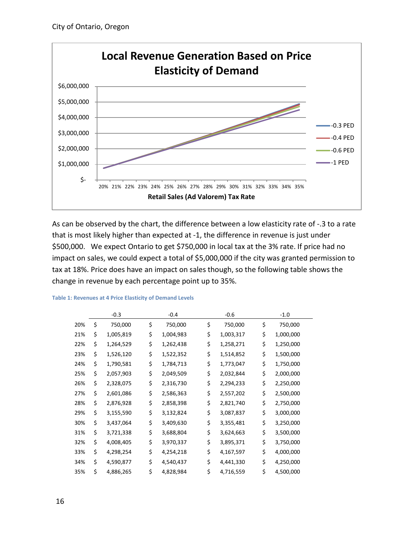

As can be observed by the chart, the difference between a low elasticity rate of -.3 to a rate that is most likely higher than expected at -1, the difference in revenue is just under \$500,000. We expect Ontario to get \$750,000 in local tax at the 3% rate. If price had no impact on sales, we could expect a total of \$5,000,000 if the city was granted permission to tax at 18%. Price does have an impact on sales though, so the following table shows the change in revenue by each percentage point up to 35%.

|     | $-0.3$          | $-0.4$          | $-0.6$          | $-1.0$          |
|-----|-----------------|-----------------|-----------------|-----------------|
| 20% | \$<br>750,000   | \$<br>750,000   | \$<br>750,000   | \$<br>750,000   |
| 21% | \$<br>1,005,819 | \$<br>1,004,983 | \$<br>1,003,317 | \$<br>1,000,000 |
| 22% | \$<br>1,264,529 | \$<br>1,262,438 | \$<br>1,258,271 | \$<br>1,250,000 |
| 23% | \$<br>1,526,120 | \$<br>1,522,352 | \$<br>1,514,852 | \$<br>1,500,000 |
| 24% | \$<br>1,790,581 | \$<br>1,784,713 | \$<br>1,773,047 | \$<br>1,750,000 |
| 25% | \$<br>2,057,903 | \$<br>2,049,509 | \$<br>2,032,844 | \$<br>2,000,000 |
| 26% | \$<br>2,328,075 | \$<br>2,316,730 | \$<br>2,294,233 | \$<br>2,250,000 |
| 27% | \$<br>2,601,086 | \$<br>2,586,363 | \$<br>2,557,202 | \$<br>2,500,000 |
| 28% | \$<br>2,876,928 | \$<br>2,858,398 | \$<br>2,821,740 | \$<br>2,750,000 |
| 29% | \$<br>3,155,590 | \$<br>3,132,824 | \$<br>3,087,837 | \$<br>3,000,000 |
| 30% | \$<br>3,437,064 | \$<br>3,409,630 | \$<br>3,355,481 | \$<br>3,250,000 |
| 31% | \$<br>3,721,338 | \$<br>3,688,804 | \$<br>3,624,663 | \$<br>3,500,000 |
| 32% | \$<br>4,008,405 | \$<br>3,970,337 | \$<br>3,895,371 | \$<br>3,750,000 |
| 33% | \$<br>4,298,254 | \$<br>4,254,218 | \$<br>4,167,597 | \$<br>4,000,000 |
| 34% | \$<br>4,590,877 | \$<br>4,540,437 | \$<br>4,441,330 | \$<br>4,250,000 |
| 35% | \$<br>4,886,265 | \$<br>4,828,984 | \$<br>4,716,559 | \$<br>4,500,000 |

#### **Table 1: Revenues at 4 Price Elasticity of Demand Levels**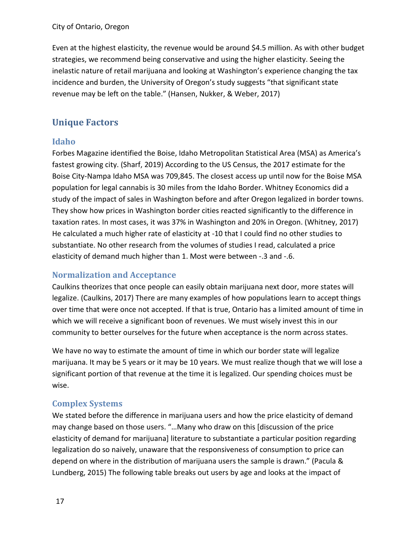Even at the highest elasticity, the revenue would be around \$4.5 million. As with other budget strategies, we recommend being conservative and using the higher elasticity. Seeing the inelastic nature of retail marijuana and looking at Washington's experience changing the tax incidence and burden, the University of Oregon's study suggests "that significant state revenue may be left on the table." (Hansen, Nukker, & Weber, 2017)

# <span id="page-16-0"></span>**Unique Factors**

# <span id="page-16-1"></span>**Idaho**

Forbes Magazine identified the Boise, Idaho Metropolitan Statistical Area (MSA) as America's fastest growing city. (Sharf, 2019) According to the US Census, the 2017 estimate for the Boise City-Nampa Idaho MSA was 709,845. The closest access up until now for the Boise MSA population for legal cannabis is 30 miles from the Idaho Border. Whitney Economics did a study of the impact of sales in Washington before and after Oregon legalized in border towns. They show how prices in Washington border cities reacted significantly to the difference in taxation rates. In most cases, it was 37% in Washington and 20% in Oregon. (Whitney, 2017) He calculated a much higher rate of elasticity at -10 that I could find no other studies to substantiate. No other research from the volumes of studies I read, calculated a price elasticity of demand much higher than 1. Most were between -.3 and -.6.

# <span id="page-16-2"></span>**Normalization and Acceptance**

Caulkins theorizes that once people can easily obtain marijuana next door, more states will legalize. (Caulkins, 2017) There are many examples of how populations learn to accept things over time that were once not accepted. If that is true, Ontario has a limited amount of time in which we will receive a significant boon of revenues. We must wisely invest this in our community to better ourselves for the future when acceptance is the norm across states.

We have no way to estimate the amount of time in which our border state will legalize marijuana. It may be 5 years or it may be 10 years. We must realize though that we will lose a significant portion of that revenue at the time it is legalized. Our spending choices must be wise.

# <span id="page-16-3"></span>**Complex Systems**

We stated before the difference in marijuana users and how the price elasticity of demand may change based on those users. "…Many who draw on this [discussion of the price elasticity of demand for marijuana] literature to substantiate a particular position regarding legalization do so naively, unaware that the responsiveness of consumption to price can depend on where in the distribution of marijuana users the sample is drawn." (Pacula & Lundberg, 2015) The following table breaks out users by age and looks at the impact of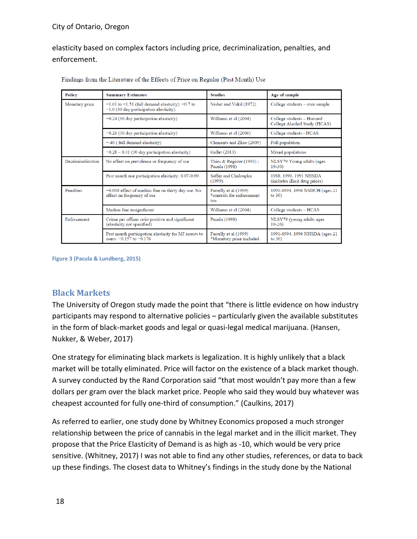elasticity based on complex factors including price, decriminalization, penalties, and enforcement.

| <b>Policy</b>     | <b>Summary Estimates</b>                                                                            | <b>Studies</b>                                            | Age of sample                                              |  |
|-------------------|-----------------------------------------------------------------------------------------------------|-----------------------------------------------------------|------------------------------------------------------------|--|
| Monetary price    | $-1.01$ to $-1.51$ (full demand elasticity); $-0.7$ to<br>$-1.0$ (30 day participation elasticity). | Nisbet and Vakil (1972)                                   | College students - own sample                              |  |
|                   | $-0.24$ (30 day participation elasticity)                                                           | Williams et al (2004)                                     | College students - Harvard<br>College Alcohol Study (HCAS) |  |
|                   | $-0.26$ (30 day participation elasticity)                                                           | Williams et al (2006)                                     | College students - HCAS                                    |  |
|                   | $-.40$ (full demand elasticity)                                                                     | Clements and Zhao (2009)                                  | Full population                                            |  |
|                   | $-0.28 - 0.31$ (30 day participation elasticity)                                                    | Gallet (2013)                                             | Mixed populations                                          |  |
| Decriminalization | No effect on prevalence or frequency of use                                                         | Thies $&$ Register (1993);<br>Pacula (1998)               | NLSY79 Young adults (ages<br>$19 - 30$                     |  |
|                   | Past month use participation elasticity: 0.07-0.09.                                                 | Saffer and Chaloupka<br>$(1999)$ .                        | 1988, 1990, 1991 NHSDA<br>(includes illicit drug prices)   |  |
| <b>Penalties</b>  | $-0.008$ effect of median fine on thirty day use. No<br>effect on frequency of use                  | Farrelly et al (1999)<br>*controls for enforcement<br>too | 1991-1994, 1996 NSDUH (ages 21<br>to $30$ )                |  |
|                   | Median fine insignificant                                                                           | Williams et al (2004)                                     | College students - HCAS                                    |  |
| Enforcement       | Crime per officer ratio positive and significant<br>(elasticity not specified)                      | Pacula (1998)<br>NLSY79 (young adults ages<br>$19 - 26$   |                                                            |  |
|                   | Past month participation elasticity for MJ arrests to<br>users: $-0.157$ to $-0.176$                | Farrelly et al (1999)<br>*Monetary price included         | 1991-1994, 1996 NHSDA (ages 21<br>to $30)$                 |  |

Findings from the Literature of the Effects of Price on Regular (Past Month) Use

**Figure 3 (Pacula & Lundberg, 2015)**

## <span id="page-17-0"></span>**Black Markets**

The University of Oregon study made the point that "there is little evidence on how industry participants may respond to alternative policies – particularly given the available substitutes in the form of black-market goods and legal or quasi-legal medical marijuana. (Hansen, Nukker, & Weber, 2017)

One strategy for eliminating black markets is legalization. It is highly unlikely that a black market will be totally eliminated. Price will factor on the existence of a black market though. A survey conducted by the Rand Corporation said "that most wouldn't pay more than a few dollars per gram over the black market price. People who said they would buy whatever was cheapest accounted for fully one-third of consumption." (Caulkins, 2017)

As referred to earlier, one study done by Whitney Economics proposed a much stronger relationship between the price of cannabis in the legal market and in the illicit market. They propose that the Price Elasticity of Demand is as high as -10, which would be very price sensitive. (Whitney, 2017) I was not able to find any other studies, references, or data to back up these findings. The closest data to Whitney's findings in the study done by the National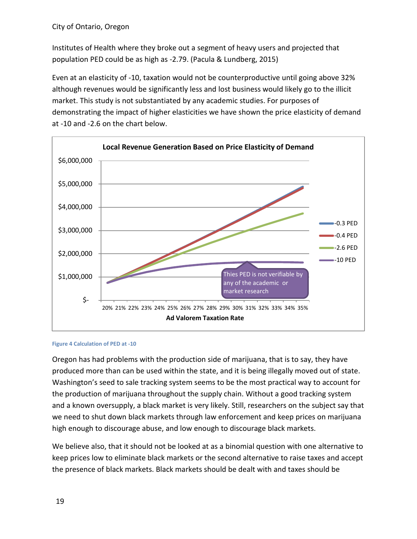Institutes of Health where they broke out a segment of heavy users and projected that population PED could be as high as -2.79. (Pacula & Lundberg, 2015)

Even at an elasticity of -10, taxation would not be counterproductive until going above 32% although revenues would be significantly less and lost business would likely go to the illicit market. This study is not substantiated by any academic studies. For purposes of demonstrating the impact of higher elasticities we have shown the price elasticity of demand at -10 and -2.6 on the chart below.



#### **Figure 4 Calculation of PED at -10**

Oregon has had problems with the production side of marijuana, that is to say, they have produced more than can be used within the state, and it is being illegally moved out of state. Washington's seed to sale tracking system seems to be the most practical way to account for the production of marijuana throughout the supply chain. Without a good tracking system and a known oversupply, a black market is very likely. Still, researchers on the subject say that we need to shut down black markets through law enforcement and keep prices on marijuana high enough to discourage abuse, and low enough to discourage black markets.

We believe also, that it should not be looked at as a binomial question with one alternative to keep prices low to eliminate black markets or the second alternative to raise taxes and accept the presence of black markets. Black markets should be dealt with and taxes should be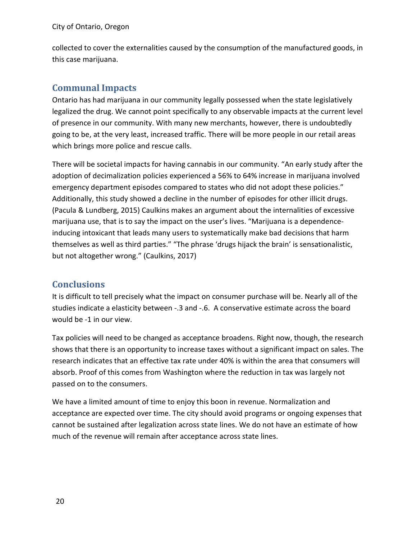collected to cover the externalities caused by the consumption of the manufactured goods, in this case marijuana.

# <span id="page-19-0"></span>**Communal Impacts**

Ontario has had marijuana in our community legally possessed when the state legislatively legalized the drug. We cannot point specifically to any observable impacts at the current level of presence in our community. With many new merchants, however, there is undoubtedly going to be, at the very least, increased traffic. There will be more people in our retail areas which brings more police and rescue calls.

There will be societal impacts for having cannabis in our community. "An early study after the adoption of decimalization policies experienced a 56% to 64% increase in marijuana involved emergency department episodes compared to states who did not adopt these policies." Additionally, this study showed a decline in the number of episodes for other illicit drugs. (Pacula & Lundberg, 2015) Caulkins makes an argument about the internalities of excessive marijuana use, that is to say the impact on the user's lives. "Marijuana is a dependenceinducing intoxicant that leads many users to systematically make bad decisions that harm themselves as well as third parties." "The phrase 'drugs hijack the brain' is sensationalistic, but not altogether wrong." (Caulkins, 2017)

# <span id="page-19-1"></span>**Conclusions**

It is difficult to tell precisely what the impact on consumer purchase will be. Nearly all of the studies indicate a elasticity between -.3 and -.6. A conservative estimate across the board would be -1 in our view.

Tax policies will need to be changed as acceptance broadens. Right now, though, the research shows that there is an opportunity to increase taxes without a significant impact on sales. The research indicates that an effective tax rate under 40% is within the area that consumers will absorb. Proof of this comes from Washington where the reduction in tax was largely not passed on to the consumers.

We have a limited amount of time to enjoy this boon in revenue. Normalization and acceptance are expected over time. The city should avoid programs or ongoing expenses that cannot be sustained after legalization across state lines. We do not have an estimate of how much of the revenue will remain after acceptance across state lines.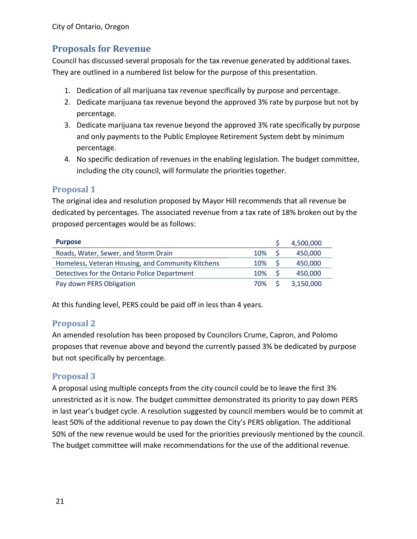# <span id="page-20-0"></span>**Proposals for Revenue**

Council has discussed several proposals for the tax revenue generated by additional taxes. They are outlined in a numbered list below for the purpose of this presentation.

- 1. Dedication of all marijuana tax revenue specifically by purpose and percentage.
- 2. Dedicate marijuana tax revenue beyond the approved 3% rate by purpose but not by percentage.
- 3. Dedicate marijuana tax revenue beyond the approved 3% rate specifically by purpose and only payments to the Public Employee Retirement System debt by minimum percentage.
- 4. No specific dedication of revenues in the enabling legislation. The budget committee, including the city council, will formulate the priorities together.

## <span id="page-20-1"></span>**Proposal 1**

The original idea and resolution proposed by Mayor Hill recommends that all revenue be dedicated by percentages. The associated revenue from a tax rate of 18% broken out by the proposed percentages would be as follows:

| <b>Purpose</b>                                    |          |      | 4,500,000 |
|---------------------------------------------------|----------|------|-----------|
| Roads, Water, Sewer, and Storm Drain              | 10% S    |      | 450,000   |
| Homeless, Veteran Housing, and Community Kitchens | 10%      | - \$ | 450,000   |
| Detectives for the Ontario Police Department      | $10\%$ S |      | 450,000   |
| Pay down PERS Obligation                          | 70% S    |      | 3,150,000 |

At this funding level, PERS could be paid off in less than 4 years.

# <span id="page-20-2"></span>**Proposal 2**

An amended resolution has been proposed by Councilors Crume, Capron, and Polomo proposes that revenue above and beyond the currently passed 3% be dedicated by purpose but not specifically by percentage.

## <span id="page-20-3"></span>**Proposal 3**

A proposal using multiple concepts from the city council could be to leave the first 3% unrestricted as it is now. The budget committee demonstrated its priority to pay down PERS in last year's budget cycle. A resolution suggested by council members would be to commit at least 50% of the additional revenue to pay down the City's PERS obligation. The additional 50% of the new revenue would be used for the priorities previously mentioned by the council. The budget committee will make recommendations for the use of the additional revenue.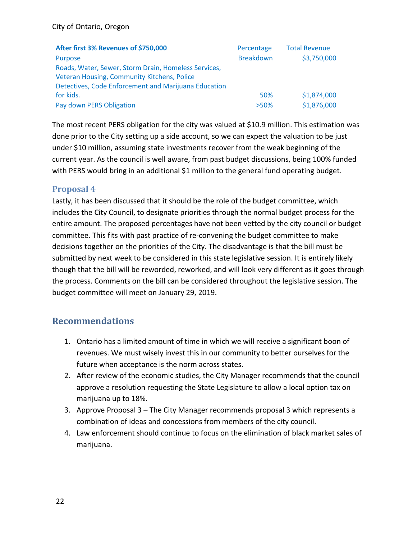| After first 3% Revenues of \$750,000                 | Percentage       | <b>Total Revenue</b> |
|------------------------------------------------------|------------------|----------------------|
| Purpose                                              | <b>Breakdown</b> | \$3,750,000          |
| Roads, Water, Sewer, Storm Drain, Homeless Services, |                  |                      |
| Veteran Housing, Community Kitchens, Police          |                  |                      |
| Detectives, Code Enforcement and Marijuana Education |                  |                      |
| for kids.                                            | 50%              | \$1,874,000          |
| Pay down PERS Obligation                             | $>50\%$          | \$1,876,000          |

The most recent PERS obligation for the city was valued at \$10.9 million. This estimation was done prior to the City setting up a side account, so we can expect the valuation to be just under \$10 million, assuming state investments recover from the weak beginning of the current year. As the council is well aware, from past budget discussions, being 100% funded with PERS would bring in an additional \$1 million to the general fund operating budget.

## <span id="page-21-0"></span>**Proposal 4**

Lastly, it has been discussed that it should be the role of the budget committee, which includes the City Council, to designate priorities through the normal budget process for the entire amount. The proposed percentages have not been vetted by the city council or budget committee. This fits with past practice of re-convening the budget committee to make decisions together on the priorities of the City. The disadvantage is that the bill must be submitted by next week to be considered in this state legislative session. It is entirely likely though that the bill will be reworded, reworked, and will look very different as it goes through the process. Comments on the bill can be considered throughout the legislative session. The budget committee will meet on January 29, 2019.

# <span id="page-21-1"></span>**Recommendations**

- 1. Ontario has a limited amount of time in which we will receive a significant boon of revenues. We must wisely invest this in our community to better ourselves for the future when acceptance is the norm across states.
- 2. After review of the economic studies, the City Manager recommends that the council approve a resolution requesting the State Legislature to allow a local option tax on marijuana up to 18%.
- 3. Approve Proposal 3 The City Manager recommends proposal 3 which represents a combination of ideas and concessions from members of the city council.
- 4. Law enforcement should continue to focus on the elimination of black market sales of marijuana.